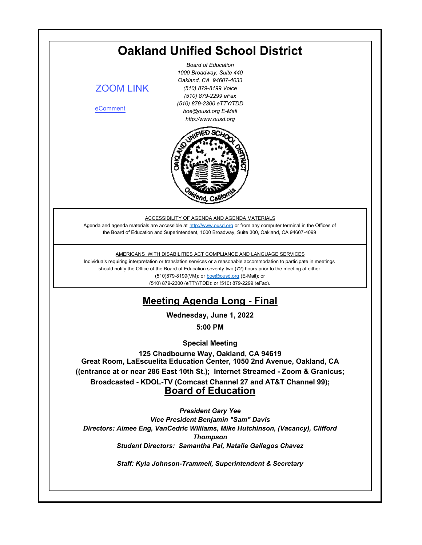<span id="page-0-0"></span>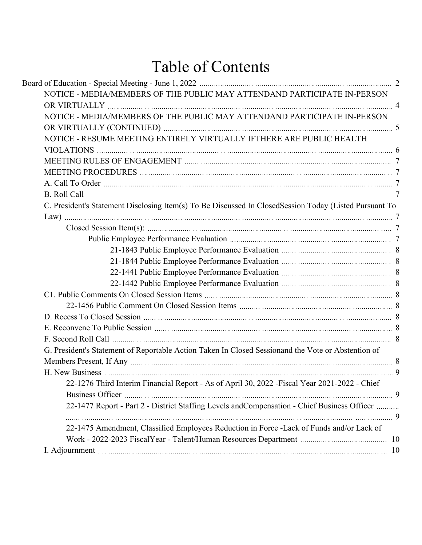# Table of Contents

| NOTICE - MEDIA/MEMBERS OF THE PUBLIC MAY ATTENDAND PARTICIPATE IN-PERSON                               |  |
|--------------------------------------------------------------------------------------------------------|--|
|                                                                                                        |  |
| NOTICE - MEDIA/MEMBERS OF THE PUBLIC MAY ATTENDAND PARTICIPATE IN-PERSON                               |  |
|                                                                                                        |  |
| NOTICE - RESUME MEETING ENTIRELY VIRTUALLY IFTHERE ARE PUBLIC HEALTH                                   |  |
|                                                                                                        |  |
|                                                                                                        |  |
|                                                                                                        |  |
|                                                                                                        |  |
|                                                                                                        |  |
| C. President's Statement Disclosing Item(s) To Be Discussed In ClosedSession Today (Listed Pursuant To |  |
|                                                                                                        |  |
|                                                                                                        |  |
|                                                                                                        |  |
|                                                                                                        |  |
|                                                                                                        |  |
|                                                                                                        |  |
|                                                                                                        |  |
|                                                                                                        |  |
|                                                                                                        |  |
|                                                                                                        |  |
|                                                                                                        |  |
|                                                                                                        |  |
| G. President's Statement of Reportable Action Taken In Closed Sessionand the Vote or Abstention of     |  |
|                                                                                                        |  |
|                                                                                                        |  |
| 22-1276 Third Interim Financial Report - As of April 30, 2022 - Fiscal Year 2021-2022 - Chief          |  |
|                                                                                                        |  |
| 22-1477 Report - Part 2 - District Staffing Levels and Compensation - Chief Business Officer           |  |
|                                                                                                        |  |
| 22-1475 Amendment, Classified Employees Reduction in Force -Lack of Funds and/or Lack of               |  |
|                                                                                                        |  |
|                                                                                                        |  |
|                                                                                                        |  |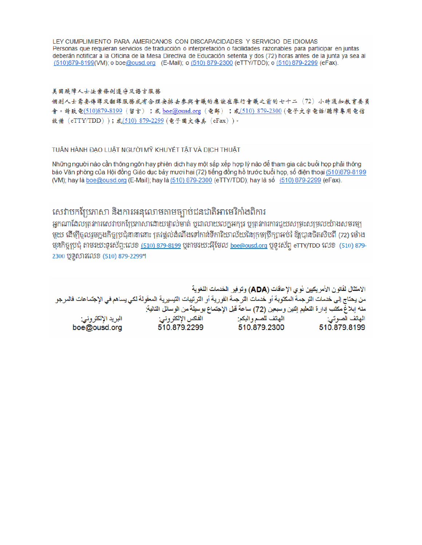LEY CUMPLIMIENTO PARA AMERICANOS CON DISCAPACIDADES Y SERVICIO DE IDIOMAS Personas que requieran servicios de traducción o interpretación o facilidades razonables para participar en juntas deberán notificar a la Oficina de la Mesa Directiva de Educación setenta y dos (72) horas antes de la junta ya sea al (510)879-8199(VM); o boe@ousd.org (E-Mail); o (510) 879-2300 (eTTY/TDD); o (510) 879-2299 (eFax).

#### 美国残障人士法案條例遵守及語言服務

個别人士需要傳譯及翻譯服務或有合理安排去參與會議的應該在舉行會議之前的七十二(72)小時通知教育委員 會。請致電(510)879-8199(留言);或 boe@ousd.org (電郵) ;或(510) 879-2300 (電子文字電話/聽障專用電信 設備 (eTTY/TDD));或(510) 879-2299 (電子圖文傳真 (eFax))。

#### TUẦN HÀNH ĐẠO LUẬT NGƯỜI MỸ KHUYẾT TẤT VÀ DỊCH THUẬT

Những người nào cần thông ngôn hay phiên dịch hay một sắp xếp hợp lý nào để tham gia các buổi họp phải thông báo Văn phòng của Hội đồng Giáo dục bảy mươi hai (72) tiếng đồng hồ trước buổi họp, số điện thoại (510)879-8199 (VM); hay là boe@ousd.org (E-Mail); hay là (510) 879-2300 (eTTY/TDD); hay là số (510) 879-2299 (eFax).

### សេវាបកប្រែភាសា និងការអនុលោមតាមច្បាប់ជនជាតិអាមេរិកាំងពិការ

អកណាដែលត្រូវការសេវាបកប្រែភាសាដោយផ្ទាល់មាត់ ឬជាលាយលក្ខអក្សរ ឬត្រូវការការជួយសម្រះសម្រលយ៉ាងសមរម្យ មួយ ដើម្បីចូលរួមក្នុងកិច្ចប្រជុំនានានោះ ត្រវង្គល់ដំណឹងទៅកាន់ទីការិយាល័យនៃក្រមប្រឹក្សាអប់រំ ឱ្យបានចិតសិបពី (72) ម៉ោង មុនកិច្ចប្រជុំ តាមរយៈទូរស័ព្ទ:លេខ <u>(510) 879-8199</u> បុតាមរយៈអ៊ីមែល <u>boe@ousd.org</u> បុទូរស័ព្ទ eTTY/TDD លេខ (510) 879-2300 ប៊ូទូសារលេខ (510) 879-2299។

الامتثال لقانون الأمريكيين نو ي الإعاقات (ADA) وتوفير الخدمات اللغوية من يحتاج إلى خدمات الترجمة المكتوبة أو خدمات الترجمة الفورية أو الترتيبات التيسيرية المعفّولة لكي يساهم في الإجتماعات فالمرجو منه إبلاغ مكتب إدارة التعليم إثنين وسبعين (72) ساعة قبل الإجتماع بوسيلة من الوسائل التالية: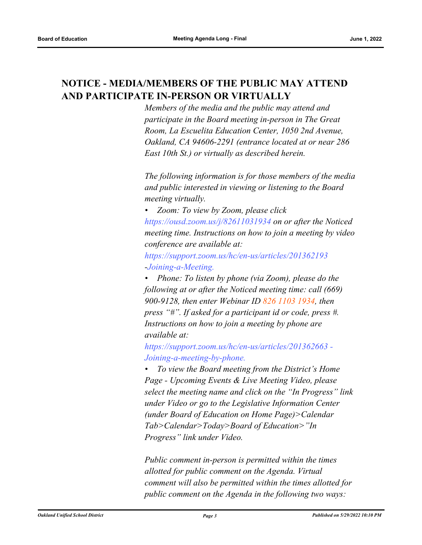# <span id="page-3-0"></span>**NOTICE - MEDIA/MEMBERS OF THE PUBLIC MAY ATTEND AND PARTICIPATE IN-PERSON OR VIRTUALLY**

*Members of the media and the public may attend and participate in the Board meeting in-person in The Great Room, La Escuelita Education Center, 1050 2nd Avenue, Oakland, CA 94606-2291 (entrance located at or near 286 East 10th St.) or virtually as described herein.*

*The following information is for those members of the media and public interested in viewing or listening to the Board meeting virtually.*

*• Zoom: To view by Zoom, please click https://ousd.zoom.us/j/82611031934 on or after the Noticed meeting time. Instructions on how to join a meeting by video conference are available at:*

*https://support.zoom.us/hc/en-us/articles/201362193 -Joining-a-Meeting.*

*• Phone: To listen by phone (via Zoom), please do the following at or after the Noticed meeting time: call (669) 900-9128, then enter Webinar ID 826 1103 1934, then press "#". If asked for a participant id or code, press #. Instructions on how to join a meeting by phone are available at:*

*https://support.zoom.us/hc/en-us/articles/201362663 - Joining-a-meeting-by-phone.*

*• To view the Board meeting from the District's Home Page - Upcoming Events & Live Meeting Video, please select the meeting name and click on the "In Progress" link under Video or go to the Legislative Information Center (under Board of Education on Home Page)>Calendar Tab>Calendar>Today>Board of Education>"In Progress" link under Video.*

*Public comment in-person is permitted within the times allotted for public comment on the Agenda. Virtual comment will also be permitted within the times allotted for public comment on the Agenda in the following two ways:*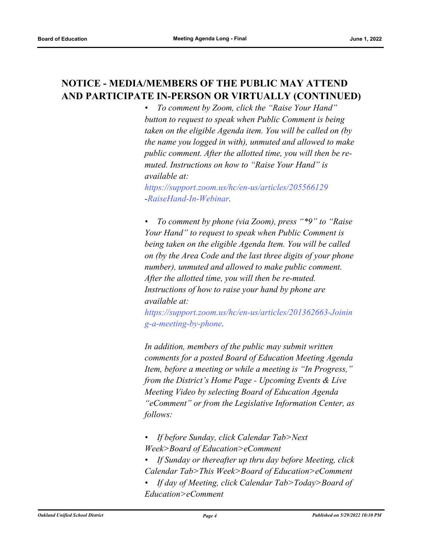# <span id="page-4-0"></span>**NOTICE - MEDIA/MEMBERS OF THE PUBLIC MAY ATTEND AND PARTICIPATE IN-PERSON OR VIRTUALLY (CONTINUED)**

*• To comment by Zoom, click the "Raise Your Hand" button to request to speak when Public Comment is being taken on the eligible Agenda item. You will be called on (by the name you logged in with), unmuted and allowed to make public comment. After the allotted time, you will then be remuted. Instructions on how to "Raise Your Hand" is available at:*

*https://support.zoom.us/hc/en-us/articles/205566129 -RaiseHand-In-Webinar.*

*• To comment by phone (via Zoom), press "\*9" to "Raise Your Hand" to request to speak when Public Comment is being taken on the eligible Agenda Item. You will be called on (by the Area Code and the last three digits of your phone number), unmuted and allowed to make public comment. After the allotted time, you will then be re-muted. Instructions of how to raise your hand by phone are available at:*

*https://support.zoom.us/hc/en-us/articles/201362663-Joinin g-a-meeting-by-phone.*

*In addition, members of the public may submit written comments for a posted Board of Education Meeting Agenda Item, before a meeting or while a meeting is "In Progress," from the District's Home Page - Upcoming Events & Live Meeting Video by selecting Board of Education Agenda "eComment" or from the Legislative Information Center, as follows:*

- *If before Sunday, click Calendar Tab>Next Week>Board of Education>eComment*
- *If Sunday or thereafter up thru day before Meeting, click Calendar Tab>This Week>Board of Education>eComment*
- *If day of Meeting, click Calendar Tab>Today>Board of Education>eComment*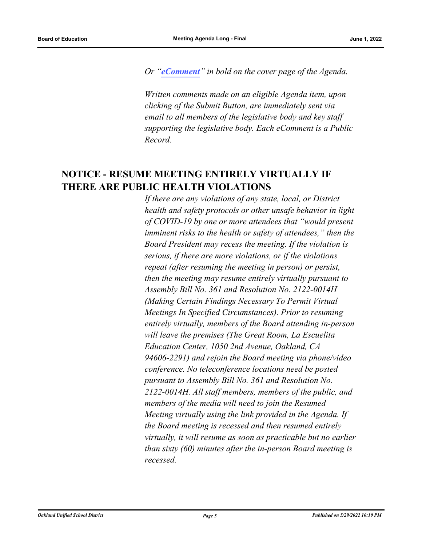<span id="page-5-0"></span>*Or "[eComment](https://ousd.granicusideas.com/meetings/2344-board-of-education-on-2022-06-01-5-00-pm-special-meeting)" in bold on the cover page of the Agenda.* 

*Written comments made on an eligible Agenda item, upon clicking of the Submit Button, are immediately sent via email to all members of the legislative body and key staff supporting the legislative body. Each eComment is a Public Record.*

## **NOTICE - RESUME MEETING ENTIRELY VIRTUALLY IF THERE ARE PUBLIC HEALTH VIOLATIONS**

*If there are any violations of any state, local, or District health and safety protocols or other unsafe behavior in light of COVID-19 by one or more attendees that "would present imminent risks to the health or safety of attendees," then the Board President may recess the meeting. If the violation is serious, if there are more violations, or if the violations repeat (after resuming the meeting in person) or persist, then the meeting may resume entirely virtually pursuant to Assembly Bill No. 361 and Resolution No. 2122-0014H (Making Certain Findings Necessary To Permit Virtual Meetings In Specified Circumstances). Prior to resuming entirely virtually, members of the Board attending in-person will leave the premises (The Great Room, La Escuelita Education Center, 1050 2nd Avenue, Oakland, CA 94606-2291) and rejoin the Board meeting via phone/video conference. No teleconference locations need be posted pursuant to Assembly Bill No. 361 and Resolution No. 2122-0014H. All staff members, members of the public, and members of the media will need to join the Resumed Meeting virtually using the link provided in the Agenda. If the Board meeting is recessed and then resumed entirely virtually, it will resume as soon as practicable but no earlier than sixty (60) minutes after the in-person Board meeting is recessed.*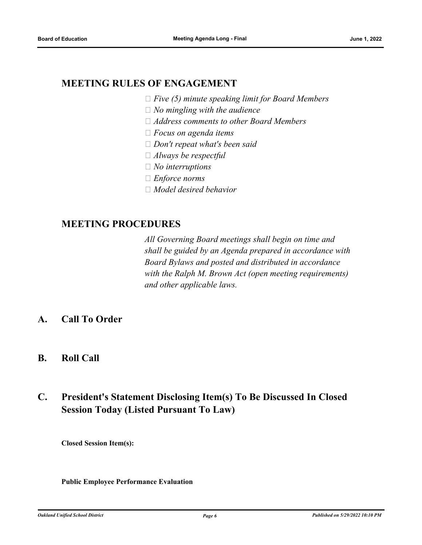### <span id="page-6-2"></span><span id="page-6-1"></span><span id="page-6-0"></span>**MEETING RULES OF ENGAGEMENT**

- *Five (5) minute speaking limit for Board Members*
- *No mingling with the audience*
- *Address comments to other Board Members*
- *Focus on agenda items*
- *Don't repeat what's been said*
- *Always be respectful*
- *No interruptions*
- *Enforce norms*
- *Model desired behavior*

### <span id="page-6-4"></span><span id="page-6-3"></span>**MEETING PROCEDURES**

*All Governing Board meetings shall begin on time and shall be guided by an Agenda prepared in accordance with Board Bylaws and posted and distributed in accordance with the Ralph M. Brown Act (open meeting requirements) and other applicable laws.*

- **A. Call To Order**
- **B. Roll Call**

# **C. President's Statement Disclosing Item(s) To Be Discussed In Closed Session Today (Listed Pursuant To Law)**

**Closed Session Item(s):**

#### **Public Employee Performance Evaluation**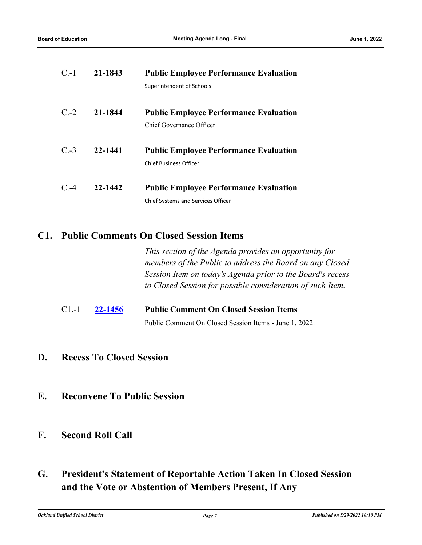<span id="page-7-1"></span><span id="page-7-0"></span>

| $C.-1$ | 21-1843 | <b>Public Employee Performance Evaluation</b> |
|--------|---------|-----------------------------------------------|
|        |         | Superintendent of Schools                     |
| $C.-2$ | 21-1844 | <b>Public Employee Performance Evaluation</b> |
|        |         | Chief Governance Officer                      |
| $C.-3$ | 22-1441 | <b>Public Employee Performance Evaluation</b> |
|        |         | <b>Chief Business Officer</b>                 |
| C.4    | 22-1442 | <b>Public Employee Performance Evaluation</b> |
|        |         | <b>Chief Systems and Services Officer</b>     |

### <span id="page-7-4"></span><span id="page-7-3"></span><span id="page-7-2"></span>**C1. Public Comments On Closed Session Items**

*This section of the Agenda provides an opportunity for members of the Public to address the Board on any Closed Session Item on today's Agenda prior to the Board's recess to Closed Session for possible consideration of such Item.*

C1.-1 **[22-1456](http://ousd.legistar.com/gateway.aspx?m=l&id=/matter.aspx?key=55750) Public Comment On Closed Session Items** Public Comment On Closed Session Items - June 1, 2022.

- **D. Recess To Closed Session**
- **E. Reconvene To Public Session**
- **F. Second Roll Call**
- **G. President's Statement of Reportable Action Taken In Closed Session and the Vote or Abstention of Members Present, If Any**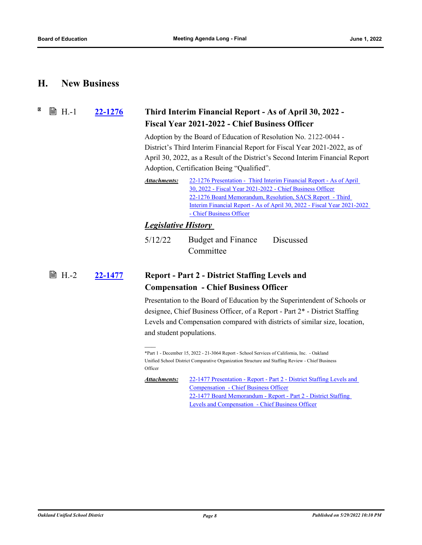#### <span id="page-8-0"></span>**H. New Business**

<span id="page-8-1"></span>X **■ H.-1** 

### **[22-1276](http://ousd.legistar.com/gateway.aspx?m=l&id=/matter.aspx?key=55570) Third Interim Financial Report - As of April 30, 2022 - Fiscal Year 2021-2022 - Chief Business Officer**

Adoption by the Board of Education of Resolution No. 2122-0044 - District's Third Interim Financial Report for Fiscal Year 2021-2022, as of April 30, 2022, as a Result of the District's Second Interim Financial Report Adoption, Certification Being "Qualified".

[22-1276 Presentation - Third Interim Financial Report - As of April](http://ousd.legistar.com/gateway.aspx?M=F&ID=104645.pptx)  30, 2022 - Fiscal Year 2021-2022 - Chief Business Officer 22-1276 Board Memorandum, Resolution, SACS Report - Third [Interim Financial Report - As of April 30, 2022 - Fiscal Year 2021-2022](http://ousd.legistar.com/gateway.aspx?M=F&ID=104647.pdf)  - Chief Business Officer *Attachments:*

#### *Legislative History*

5/12/22 Budget and Finance Committee Discussed

#### **[22-1477](http://ousd.legistar.com/gateway.aspx?m=l&id=/matter.aspx?key=55771) Report - Part 2 - District Staffing Levels and Compensation - Chief Business Officer ■ H.-2**

Presentation to the Board of Education by the Superintendent of Schools or designee, Chief Business Officer, of a Report - Part 2\* - District Staffing Levels and Compensation compared with districts of similar size, location, and student populations.

[22-1477 Presentation - Report - Part 2 - District Staffing Levels and](http://ousd.legistar.com/gateway.aspx?M=F&ID=104642.pptx)  Compensation - Chief Business Officer [22-1477 Board Memorandum - Report - Part 2 - District Staffing](http://ousd.legistar.com/gateway.aspx?M=F&ID=104643.pdf)  Levels and Compensation - Chief Business Officer *Attachments:*

<sup>\*</sup>Part 1 - December 15, 2022 - 21-3064 Report - School Services of California, Inc. - Oakland Unified School District Comparative Organization Structure and Staffing Review - Chief Business **Officer**